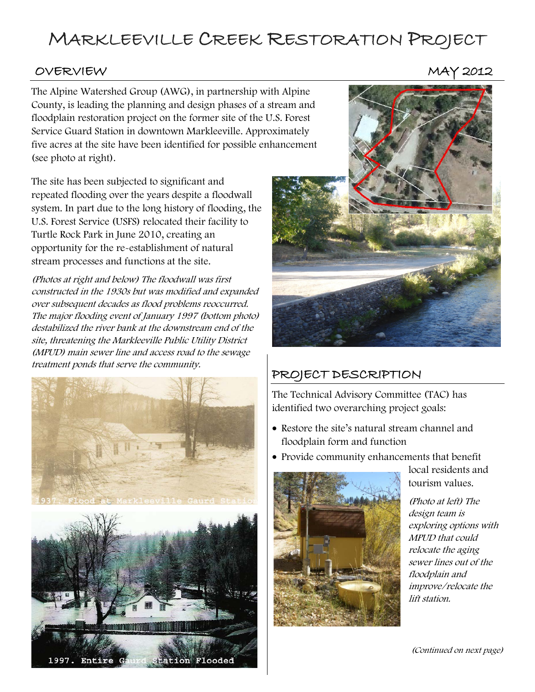## MARKLEEVILLE CREEK RESTORATION PROJECT

#### OVERVIEW MAY 2012

The Alpine Watershed Group (AWG), in partnership with Alpine County, is leading the planning and design phases of a stream and floodplain restoration project on the former site of the U.S. Forest Service Guard Station in downtown Markleeville. Approximately five acres at the site have been identified for possible enhancement (see photo at right).

The site has been subjected to significant and repeated flooding over the years despite a floodwall system. In part due to the long history of flooding, the U.S. Forest Service (USFS) relocated their facility to Turtle Rock Park in June 2010, creating an opportunity for the re-establishment of natural stream processes and functions at the site.

(Photos at right and below) The floodwall was first constructed in the 1930s but was modified and expanded over subsequent decades as flood problems reoccurred. The major flooding event of January 1997 (bottom photo) destabilized the river bank at the downstream end of the site, threatening the Markleeville Public Utility District (MPUD) main sewer line and access road to the sewage treatment ponds that serve the community.







### PROJECT DESCRIPTION

The Technical Advisory Committee (TAC) has identified two overarching project goals:

- Restore the site's natural stream channel and floodplain form and function
- Provide community enhancements that benefit



local residents and tourism values.

(Photo at left) The design team is exploring options with MPUD that could relocate the aging sewer lines out of the floodplain and improve/relocate the lift station.

(Continued on next page)